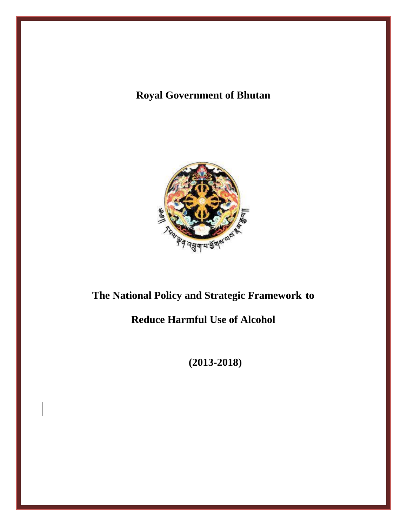# **Royal Government of Bhutan**



# **The National Policy and Strategic Framework to**

# **Reduce Harmful Use of Alcohol**

**(2013-2018)**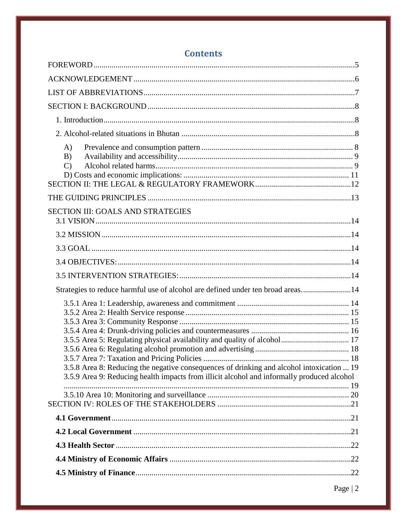| A)<br>B)<br>$\mathcal{C}$                                                                                                                                                                                                                                           |  |
|---------------------------------------------------------------------------------------------------------------------------------------------------------------------------------------------------------------------------------------------------------------------|--|
|                                                                                                                                                                                                                                                                     |  |
| SECTION III: GOALS AND STRATEGIES                                                                                                                                                                                                                                   |  |
|                                                                                                                                                                                                                                                                     |  |
|                                                                                                                                                                                                                                                                     |  |
|                                                                                                                                                                                                                                                                     |  |
|                                                                                                                                                                                                                                                                     |  |
| Strategies to reduce harmful use of alcohol are defined under ten broad areas14                                                                                                                                                                                     |  |
| 3.5.5 Area 5: Regulating physical availability and quality of alcohol 17<br>3.5.8 Area 8: Reducing the negative consequences of drinking and alcohol intoxication  19<br>3.5.9 Area 9: Reducing health impacts from illicit alcohol and informally produced alcohol |  |
|                                                                                                                                                                                                                                                                     |  |
|                                                                                                                                                                                                                                                                     |  |
|                                                                                                                                                                                                                                                                     |  |
|                                                                                                                                                                                                                                                                     |  |
|                                                                                                                                                                                                                                                                     |  |
|                                                                                                                                                                                                                                                                     |  |

# **Contents**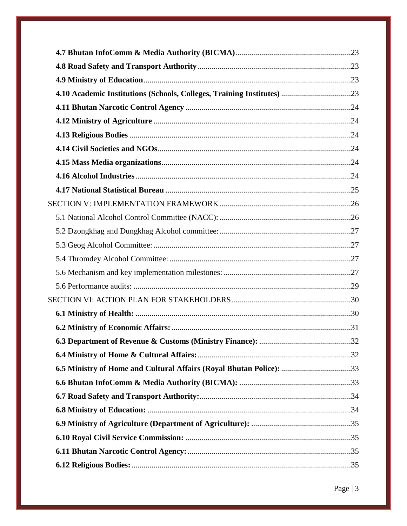| 6.5 Ministry of Home and Cultural Affairs (Royal Bhutan Police): 33 |  |
|---------------------------------------------------------------------|--|
|                                                                     |  |
|                                                                     |  |
|                                                                     |  |
|                                                                     |  |
|                                                                     |  |
|                                                                     |  |
|                                                                     |  |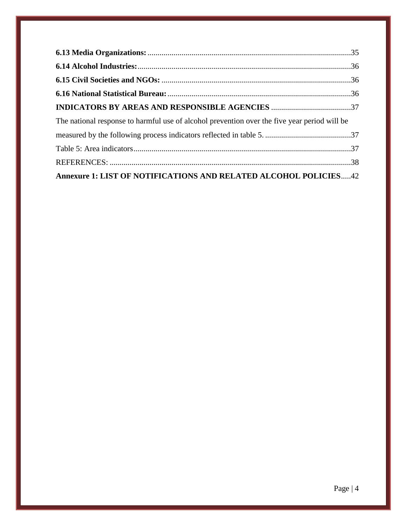| The national response to harmful use of alcohol prevention over the five year period will be |  |
|----------------------------------------------------------------------------------------------|--|
|                                                                                              |  |
|                                                                                              |  |
|                                                                                              |  |
| Annexure 1: LIST OF NOTIFICATIONS AND RELATED ALCOHOL POLICIES42                             |  |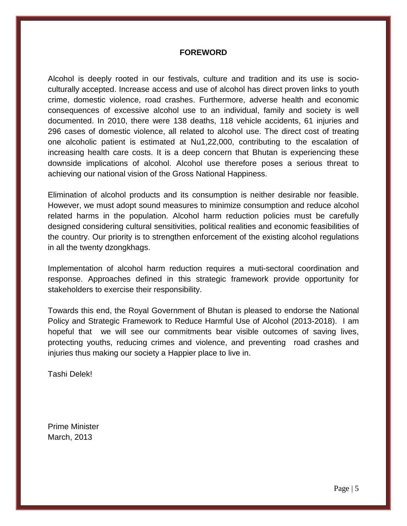#### **FOREWORD**

<span id="page-4-0"></span>Alcohol is deeply rooted in our festivals, culture and tradition and its use is socioculturally accepted. Increase access and use of alcohol has direct proven links to youth crime, domestic violence, road crashes. Furthermore, adverse health and economic consequences of excessive alcohol use to an individual, family and society is well documented. In 2010, there were 138 deaths, 118 vehicle accidents, 61 injuries and 296 cases of domestic violence, all related to alcohol use. The direct cost of treating one alcoholic patient is estimated at Nu1,22,000, contributing to the escalation of increasing health care costs. It is a deep concern that Bhutan is experiencing these downside implications of alcohol. Alcohol use therefore poses a serious threat to achieving our national vision of the Gross National Happiness.

Elimination of alcohol products and its consumption is neither desirable nor feasible. However, we must adopt sound measures to minimize consumption and reduce alcohol related harms in the population. Alcohol harm reduction policies must be carefully designed considering cultural sensitivities, political realities and economic feasibilities of the country. Our priority is to strengthen enforcement of the existing alcohol regulations in all the twenty dzongkhags.

Implementation of alcohol harm reduction requires a muti-sectoral coordination and response. Approaches defined in this strategic framework provide opportunity for stakeholders to exercise their responsibility.

Towards this end, the Royal Government of Bhutan is pleased to endorse the National Policy and Strategic Framework to Reduce Harmful Use of Alcohol (2013-2018). I am hopeful that we will see our commitments bear visible outcomes of saving lives, protecting youths, reducing crimes and violence, and preventing road crashes and injuries thus making our society a Happier place to live in.

Tashi Delek!

Prime Minister March, 2013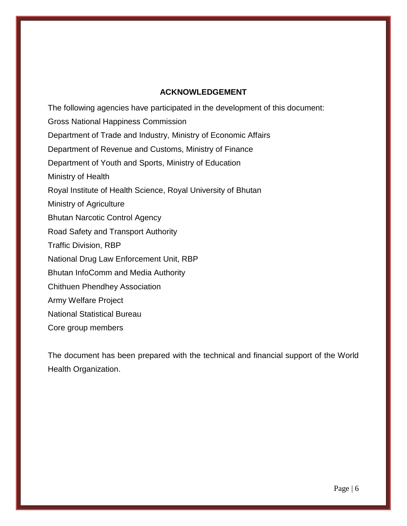#### **ACKNOWLEDGEMENT**

<span id="page-5-0"></span>The following agencies have participated in the development of this document: Gross National Happiness Commission Department of Trade and Industry, Ministry of Economic Affairs Department of Revenue and Customs, Ministry of Finance Department of Youth and Sports, Ministry of Education Ministry of Health Royal Institute of Health Science, Royal University of Bhutan Ministry of Agriculture Bhutan Narcotic Control Agency Road Safety and Transport Authority Traffic Division, RBP National Drug Law Enforcement Unit, RBP Bhutan InfoComm and Media Authority Chithuen Phendhey Association Army Welfare Project National Statistical Bureau Core group members

The document has been prepared with the technical and financial support of the World Health Organization.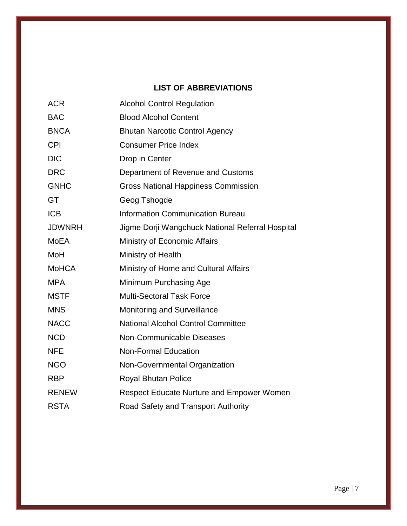## **LIST OF ABBREVIATIONS**

<span id="page-6-0"></span>

| <b>ACR</b>    | <b>Alcohol Control Regulation</b>                |
|---------------|--------------------------------------------------|
| <b>BAC</b>    | <b>Blood Alcohol Content</b>                     |
| <b>BNCA</b>   | <b>Bhutan Narcotic Control Agency</b>            |
| <b>CPI</b>    | <b>Consumer Price Index</b>                      |
| <b>DIC</b>    | Drop in Center                                   |
| <b>DRC</b>    | Department of Revenue and Customs                |
| <b>GNHC</b>   | <b>Gross National Happiness Commission</b>       |
| GT            | Geog Tshogde                                     |
| <b>ICB</b>    | <b>Information Communication Bureau</b>          |
| <b>JDWNRH</b> | Jigme Dorji Wangchuck National Referral Hospital |
| MoEA          | Ministry of Economic Affairs                     |
| MoH           | Ministry of Health                               |
| <b>MoHCA</b>  | Ministry of Home and Cultural Affairs            |
| <b>MPA</b>    | Minimum Purchasing Age                           |
| <b>MSTF</b>   | <b>Multi-Sectoral Task Force</b>                 |
| <b>MNS</b>    | <b>Monitoring and Surveillance</b>               |
| <b>NACC</b>   | <b>National Alcohol Control Committee</b>        |
| <b>NCD</b>    | <b>Non-Communicable Diseases</b>                 |
| <b>NFE</b>    | <b>Non-Formal Education</b>                      |
| <b>NGO</b>    | Non-Governmental Organization                    |
| <b>RBP</b>    | <b>Royal Bhutan Police</b>                       |
| <b>RENEW</b>  | <b>Respect Educate Nurture and Empower Women</b> |
| <b>RSTA</b>   | Road Safety and Transport Authority              |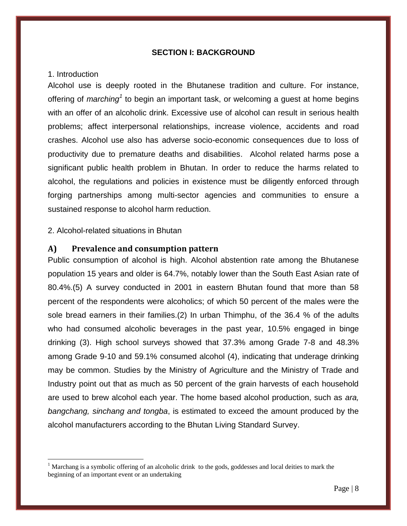#### **SECTION I: BACKGROUND**

#### <span id="page-7-1"></span><span id="page-7-0"></span>1. Introduction

 $\overline{a}$ 

Alcohol use is deeply rooted in the Bhutanese tradition and culture. For instance, offering of *marching*<sup>1</sup> to begin an important task, or welcoming a guest at home begins with an offer of an alcoholic drink. Excessive use of alcohol can result in serious health problems; affect interpersonal relationships, increase violence, accidents and road crashes. Alcohol use also has adverse socio-economic consequences due to loss of productivity due to premature deaths and disabilities. Alcohol related harms pose a significant public health problem in Bhutan. In order to reduce the harms related to alcohol, the regulations and policies in existence must be diligently enforced through forging partnerships among multi-sector agencies and communities to ensure a sustained response to alcohol harm reduction.

#### <span id="page-7-2"></span>2. Alcohol-related situations in Bhutan

#### <span id="page-7-3"></span>**A) Prevalence and consumption pattern**

Public consumption of alcohol is high. Alcohol abstention rate among the Bhutanese population 15 years and older is 64.7%, notably lower than the South East Asian rate of 80.4%.(5) A survey conducted in 2001 in eastern Bhutan found that more than 58 percent of the respondents were alcoholics; of which 50 percent of the males were the sole bread earners in their families.[\(2\)](#page-37-1) In urban Thimphu, of the 36.4 % of the adults who had consumed alcoholic beverages in the past year, 10.5% engaged in binge drinking [\(3\)](#page-37-2). High school surveys showed that 37.3% among Grade 7-8 and 48.3% among Grade 9-10 and 59.1% consumed alcohol [\(4\)](#page-37-3), indicating that underage drinking may be common. Studies by the Ministry of Agriculture and the Ministry of Trade and Industry point out that as much as 50 percent of the grain harvests of each household are used to brew alcohol each year. The home based alcohol production, such as *ara, bangchang, sinchang and tongba*, is estimated to exceed the amount produced by the alcohol manufacturers according to the Bhutan Living Standard Survey.

<sup>&</sup>lt;sup>1</sup> Marchang is a symbolic offering of an alcoholic drink to the gods, goddesses and local deities to mark the beginning of an important event or an undertaking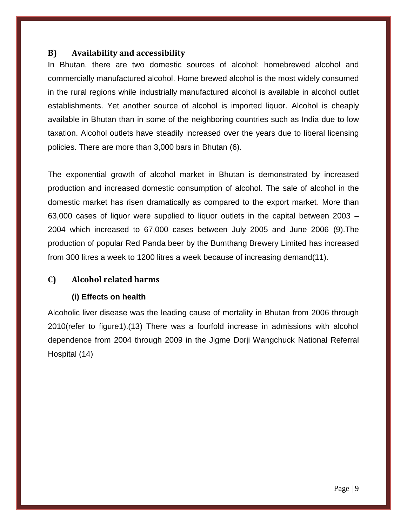## <span id="page-8-0"></span>**B) Availability and accessibility**

In Bhutan, there are two domestic sources of alcohol: homebrewed alcohol and commercially manufactured alcohol. Home brewed alcohol is the most widely consumed in the rural regions while industrially manufactured alcohol is available in alcohol outlet establishments. Yet another source of alcohol is imported liquor. Alcohol is cheaply available in Bhutan than in some of the neighboring countries such as India due to low taxation. Alcohol outlets have steadily increased over the years due to liberal licensing policies. There are more than 3,000 bars in Bhutan [\(6\)](#page-38-0).

The exponential growth of alcohol market in Bhutan is demonstrated by increased production and increased domestic consumption of alcohol. The sale of alcohol in the domestic market has risen dramatically as compared to the export market. More than 63,000 cases of liquor were supplied to liquor outlets in the capital between 2003 – 2004 which increased to 67,000 cases between July 2005 and June 2006 [\(9\)](#page-38-1).The production of popular Red Panda beer by the Bumthang Brewery Limited has increased from 300 litres a week to 1200 litres a week because of increasing demand[\(11\)](#page-38-2).

## <span id="page-8-1"></span>**C) Alcohol related harms**

#### **(i) Effects on health**

Alcoholic liver disease was the leading cause of mortality in Bhutan from 2006 through 2010(refer to figure1).[\(13\)](#page-38-3) There was a fourfold increase in admissions with alcohol dependence from 2004 through 2009 in the Jigme Dorji Wangchuck National Referral Hospital (14)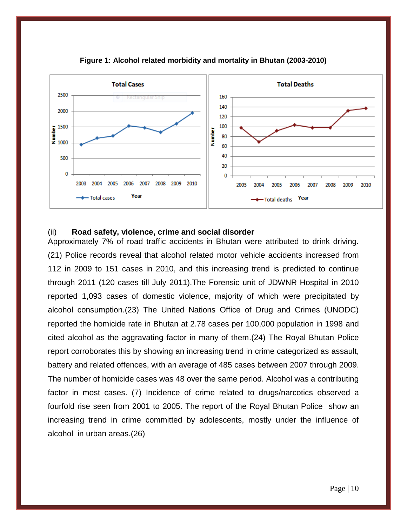



#### (ii) **Road safety, violence, crime and social disorder**

Approximately 7% of road traffic accidents in Bhutan were attributed to drink driving. [\(21\)](#page-39-0) Police records reveal that alcohol related motor vehicle accidents increased from 112 in 2009 to 151 cases in 2010, and this increasing trend is predicted to continue through 2011 (120 cases till July 2011).The Forensic unit of JDWNR Hospital in 2010 reported 1,093 cases of domestic violence, majority of which were precipitated by alcohol consumption.[\(23\)](#page-39-1) The United Nations Office of Drug and Crimes (UNODC) reported the homicide rate in Bhutan at 2.78 cases per 100,000 population in 1998 and cited alcohol as the aggravating factor in many of them.[\(24\)](#page-39-2) The Royal Bhutan Police report corroborates this by showing an increasing trend in crime categorized as assault, battery and related offences, with an average of 485 cases between 2007 through 2009. The number of homicide cases was 48 over the same period. Alcohol was a contributing factor in most cases. [\(7\)](#page-38-4) Incidence of crime related to drugs/narcotics observed a fourfold rise seen from 2001 to 2005. The report of the Royal Bhutan Police show an increasing trend in crime committed by adolescents, mostly under the influence of alcohol in urban areas.[\(26\)](#page-39-3)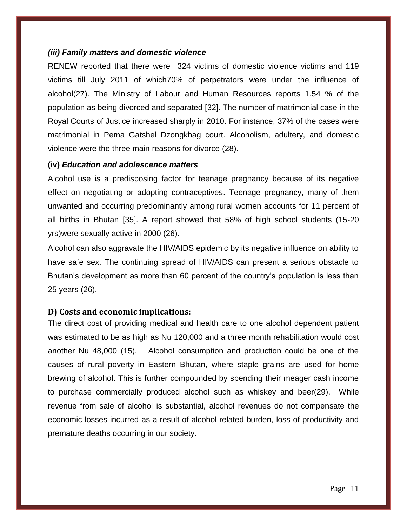#### *(iii) Family matters and domestic violence*

RENEW reported that there were 324 victims of domestic violence victims and 119 victims till July 2011 of which70% of perpetrators were under the influence of alcohol[\(27\)](#page-39-4). The Ministry of Labour and Human Resources reports 1.54 % of the population as being divorced and separated [32]. The number of matrimonial case in the Royal Courts of Justice increased sharply in 2010. For instance, 37% of the cases were matrimonial in Pema Gatshel Dzongkhag court. Alcoholism, adultery, and domestic violence were the three main reasons for divorce [\(28\)](#page-39-5).

#### **(iv)** *Education and adolescence matters*

Alcohol use is a predisposing factor for teenage pregnancy because of its negative effect on negotiating or adopting contraceptives. Teenage pregnancy, many of them unwanted and occurring predominantly among rural women accounts for 11 percent of all births in Bhutan [35]. A report showed that 58% of high school students (15-20 yrs)were sexually active in 2000 [\(26\)](#page-39-3).

Alcohol can also aggravate the HIV/AIDS epidemic by its negative influence on ability to have safe sex. The continuing spread of HIV/AIDS can present a serious obstacle to Bhutan's development as more than 60 percent of the country's population is less than 25 years [\(26\)](#page-39-3).

## <span id="page-10-0"></span>**D) Costs and economic implications:**

The direct cost of providing medical and health care to one alcohol dependent patient was estimated to be as high as Nu 120,000 and a three month rehabilitation would cost another Nu 48,000 [\(15\)](#page-38-5). Alcohol consumption and production could be one of the causes of rural poverty in Eastern Bhutan, where staple grains are used for home brewing of alcohol. This is further compounded by spending their meager cash income to purchase commercially produced alcohol such as whiskey and beer[\(29\)](#page-39-6). While revenue from sale of alcohol is substantial, alcohol revenues do not compensate the economic losses incurred as a result of alcohol-related burden, loss of productivity and premature deaths occurring in our society.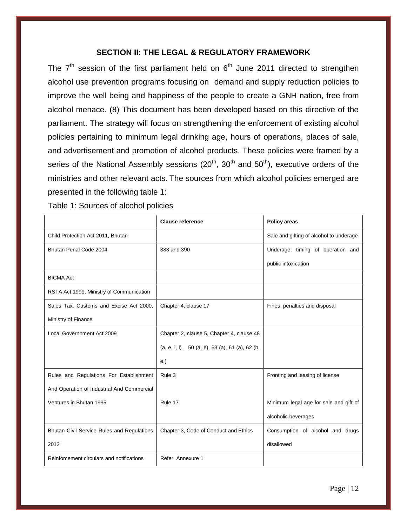#### **SECTION II: THE LEGAL & REGULATORY FRAMEWORK**

<span id="page-11-0"></span>The  $7<sup>th</sup>$  session of the first parliament held on  $6<sup>th</sup>$  June 2011 directed to strengthen alcohol use prevention programs focusing on demand and supply reduction policies to improve the well being and happiness of the people to create a GNH nation, free from alcohol menace. (8) This document has been developed based on this directive of the parliament. The strategy will focus on strengthening the enforcement of existing alcohol policies pertaining to minimum legal drinking age, hours of operations, places of sale, and advertisement and promotion of alcohol products. These policies were framed by a series of the National Assembly sessions  $(20<sup>th</sup>, 30<sup>th</sup>$  and  $50<sup>th</sup>$ ), executive orders of the ministries and other relevant acts. The sources from which alcohol policies emerged are presented in the following table 1:

Table 1: Sources of alcohol policies

|                                            | <b>Clause reference</b>                                          | <b>Policy areas</b>                     |
|--------------------------------------------|------------------------------------------------------------------|-----------------------------------------|
| Child Protection Act 2011, Bhutan          |                                                                  | Sale and gifting of alcohol to underage |
| Bhutan Penal Code 2004                     | 383 and 390                                                      | Underage, timing of operation and       |
|                                            |                                                                  | public intoxication                     |
| <b>BICMA Act</b>                           |                                                                  |                                         |
| RSTA Act 1999, Ministry of Communication   |                                                                  |                                         |
| Sales Tax, Customs and Excise Act 2000,    | Chapter 4, clause 17                                             | Fines, penalties and disposal           |
| Ministry of Finance                        |                                                                  |                                         |
| Local Governnment Act 2009                 | Chapter 2, clause 5, Chapter 4, clause 48                        |                                         |
|                                            | $(a, e, i, l)$ , 50 $(a, e)$ , 53 $(a)$ , 61 $(a)$ , 62 $(b, c)$ |                                         |
|                                            | (e, )                                                            |                                         |
| Rules and Regulations For Establishment    | Rule 3                                                           | Fronting and leasing of license         |
| And Operation of Industrial And Commercial |                                                                  |                                         |
| Ventures in Bhutan 1995                    | Rule 17                                                          | Minimum legal age for sale and gift of  |
|                                            |                                                                  | alcoholic beverages                     |
| Bhutan Civil Service Rules and Regulations | Chapter 3, Code of Conduct and Ethics                            | Consumption of alcohol and drugs        |
| 2012                                       |                                                                  | disallowed                              |
| Reinforcement circulars and notifications  | Refer Annexure 1                                                 |                                         |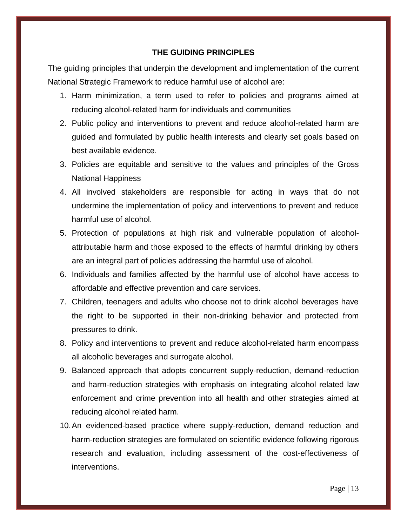#### **THE GUIDING PRINCIPLES**

<span id="page-12-0"></span>The guiding principles that underpin the development and implementation of the current National Strategic Framework to reduce harmful use of alcohol are:

- 1. Harm minimization, a term used to refer to policies and programs aimed at reducing alcohol-related harm for individuals and communities
- 2. Public policy and interventions to prevent and reduce alcohol-related harm are guided and formulated by public health interests and clearly set goals based on best available evidence.
- 3. Policies are equitable and sensitive to the values and principles of the Gross National Happiness
- 4. All involved stakeholders are responsible for acting in ways that do not undermine the implementation of policy and interventions to prevent and reduce harmful use of alcohol.
- 5. Protection of populations at high risk and vulnerable population of alcoholattributable harm and those exposed to the effects of harmful drinking by others are an integral part of policies addressing the harmful use of alcohol.
- 6. Individuals and families affected by the harmful use of alcohol have access to affordable and effective prevention and care services.
- 7. Children, teenagers and adults who choose not to drink alcohol beverages have the right to be supported in their non-drinking behavior and protected from pressures to drink.
- 8. Policy and interventions to prevent and reduce alcohol-related harm encompass all alcoholic beverages and surrogate alcohol.
- 9. Balanced approach that adopts concurrent supply-reduction, demand-reduction and harm-reduction strategies with emphasis on integrating alcohol related law enforcement and crime prevention into all health and other strategies aimed at reducing alcohol related harm.
- 10.An evidenced-based practice where supply-reduction, demand reduction and harm-reduction strategies are formulated on scientific evidence following rigorous research and evaluation, including assessment of the cost-effectiveness of interventions.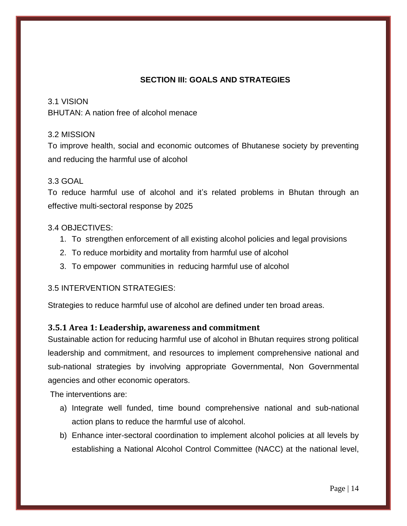## **SECTION III: GOALS AND STRATEGIES**

#### <span id="page-13-0"></span>3.1 VISION

BHUTAN: A nation free of alcohol menace

#### <span id="page-13-1"></span>3.2 MISSION

To improve health, social and economic outcomes of Bhutanese society by preventing and reducing the harmful use of alcohol

#### <span id="page-13-2"></span>3.3 GOAL

To reduce harmful use of alcohol and it's related problems in Bhutan through an effective multi-sectoral response by 2025

#### <span id="page-13-3"></span>3.4 OBJECTIVES:

- 1. To strengthen enforcement of all existing alcohol policies and legal provisions
- 2. To reduce morbidity and mortality from harmful use of alcohol
- 3. To empower communities in reducing harmful use of alcohol

#### <span id="page-13-4"></span>3.5 INTERVENTION STRATEGIES:

<span id="page-13-5"></span>Strategies to reduce harmful use of alcohol are defined under ten broad areas.

#### <span id="page-13-6"></span>**3.5.1 Area 1: Leadership, awareness and commitment**

Sustainable action for reducing harmful use of alcohol in Bhutan requires strong political leadership and commitment, and resources to implement comprehensive national and sub-national strategies by involving appropriate Governmental, Non Governmental agencies and other economic operators.

The interventions are:

- a) Integrate well funded, time bound comprehensive national and sub-national action plans to reduce the harmful use of alcohol.
- b) Enhance inter-sectoral coordination to implement alcohol policies at all levels by establishing a National Alcohol Control Committee (NACC) at the national level,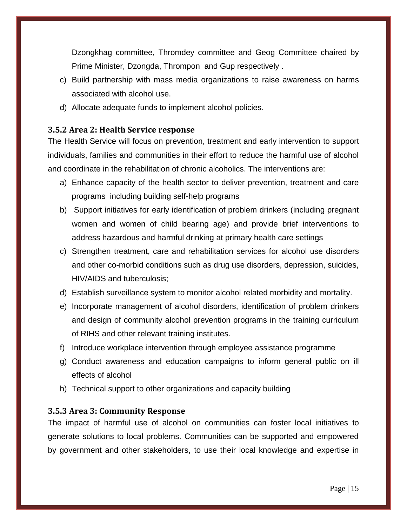Dzongkhag committee, Thromdey committee and Geog Committee chaired by Prime Minister, Dzongda, Thrompon and Gup respectively .

- c) Build partnership with mass media organizations to raise awareness on harms associated with alcohol use.
- d) Allocate adequate funds to implement alcohol policies.

## <span id="page-14-0"></span>**3.5.2 Area 2: Health Service response**

The Health Service will focus on prevention, treatment and early intervention to support individuals, families and communities in their effort to reduce the harmful use of alcohol and coordinate in the rehabilitation of chronic alcoholics. The interventions are:

- a) Enhance capacity of the health sector to deliver prevention, treatment and care programs including building self-help programs
- b) Support initiatives for early identification of problem drinkers (including pregnant women and women of child bearing age) and provide brief interventions to address hazardous and harmful drinking at primary health care settings
- c) Strengthen treatment, care and rehabilitation services for alcohol use disorders and other co-morbid conditions such as drug use disorders, depression, suicides, HIV/AIDS and tuberculosis;
- d) Establish surveillance system to monitor alcohol related morbidity and mortality.
- e) Incorporate management of alcohol disorders, identification of problem drinkers and design of community alcohol prevention programs in the training curriculum of RIHS and other relevant training institutes.
- f) Introduce workplace intervention through employee assistance programme
- g) Conduct awareness and education campaigns to inform general public on ill effects of alcohol
- h) Technical support to other organizations and capacity building

#### <span id="page-14-1"></span>**3.5.3 Area 3: Community Response**

The impact of harmful use of alcohol on communities can foster local initiatives to generate solutions to local problems. Communities can be supported and empowered by government and other stakeholders, to use their local knowledge and expertise in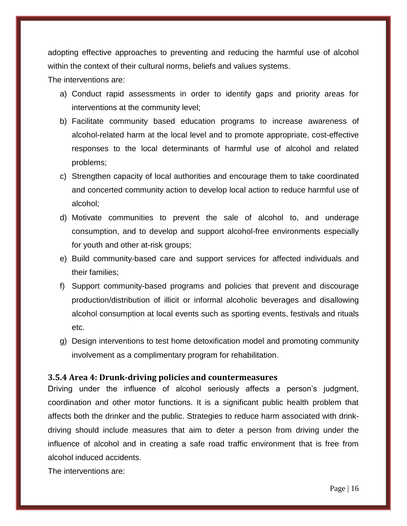adopting effective approaches to preventing and reducing the harmful use of alcohol within the context of their cultural norms, beliefs and values systems.

The interventions are:

- a) Conduct rapid assessments in order to identify gaps and priority areas for interventions at the community level;
- b) Facilitate community based education programs to increase awareness of alcohol-related harm at the local level and to promote appropriate, cost-effective responses to the local determinants of harmful use of alcohol and related problems;
- c) Strengthen capacity of local authorities and encourage them to take coordinated and concerted community action to develop local action to reduce harmful use of alcohol;
- d) Motivate communities to prevent the sale of alcohol to, and underage consumption, and to develop and support alcohol-free environments especially for youth and other at-risk groups;
- e) Build community-based care and support services for affected individuals and their families;
- f) Support community-based programs and policies that prevent and discourage production/distribution of illicit or informal alcoholic beverages and disallowing alcohol consumption at local events such as sporting events, festivals and rituals etc.
- g) Design interventions to test home detoxification model and promoting community involvement as a complimentary program for rehabilitation.

#### <span id="page-15-0"></span>**3.5.4 Area 4: Drunk-driving policies and countermeasures**

Driving under the influence of alcohol seriously affects a person's judgment, coordination and other motor functions. It is a significant public health problem that affects both the drinker and the public. Strategies to reduce harm associated with drinkdriving should include measures that aim to deter a person from driving under the influence of alcohol and in creating a safe road traffic environment that is free from alcohol induced accidents.

The interventions are: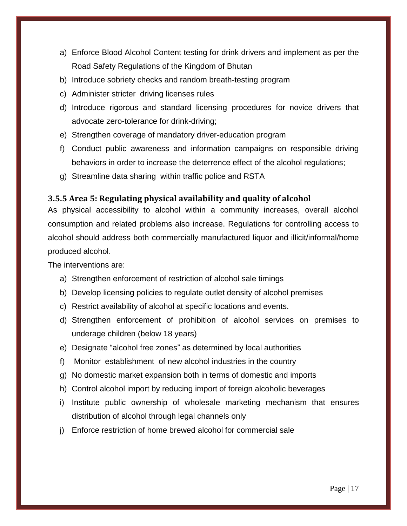- a) Enforce Blood Alcohol Content testing for drink drivers and implement as per the Road Safety Regulations of the Kingdom of Bhutan
- b) Introduce sobriety checks and random breath-testing program
- c) Administer stricter driving licenses rules
- d) Introduce rigorous and standard licensing procedures for novice drivers that advocate zero-tolerance for drink-driving;
- e) Strengthen coverage of mandatory driver-education program
- f) Conduct public awareness and information campaigns on responsible driving behaviors in order to increase the deterrence effect of the alcohol regulations;
- g) Streamline data sharing within traffic police and RSTA

## <span id="page-16-0"></span>**3.5.5 Area 5: Regulating physical availability and quality of alcohol**

As physical accessibility to alcohol within a community increases, overall alcohol consumption and related problems also increase. Regulations for controlling access to alcohol should address both commercially manufactured liquor and illicit/informal/home produced alcohol.

The interventions are:

- a) Strengthen enforcement of restriction of alcohol sale timings
- b) Develop licensing policies to regulate outlet density of alcohol premises
- c) Restrict availability of alcohol at specific locations and events.
- d) Strengthen enforcement of prohibition of alcohol services on premises to underage children (below 18 years)
- e) Designate "alcohol free zones" as determined by local authorities
- f) Monitor establishment of new alcohol industries in the country
- g) No domestic market expansion both in terms of domestic and imports
- h) Control alcohol import by reducing import of foreign alcoholic beverages
- i) Institute public ownership of wholesale marketing mechanism that ensures distribution of alcohol through legal channels only
- j) Enforce restriction of home brewed alcohol for commercial sale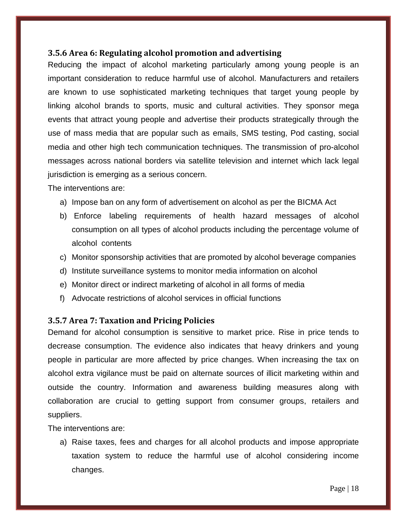### <span id="page-17-0"></span>**3.5.6 Area 6: Regulating alcohol promotion and advertising**

Reducing the impact of alcohol marketing particularly among young people is an important consideration to reduce harmful use of alcohol. Manufacturers and retailers are known to use sophisticated marketing techniques that target young people by linking alcohol brands to sports, music and cultural activities. They sponsor mega events that attract young people and advertise their products strategically through the use of mass media that are popular such as emails, SMS testing, Pod casting, social media and other high tech communication techniques. The transmission of pro-alcohol messages across national borders via satellite television and internet which lack legal jurisdiction is emerging as a serious concern.

The interventions are:

- a) Impose ban on any form of advertisement on alcohol as per the BICMA Act
- b) Enforce labeling requirements of health hazard messages of alcohol consumption on all types of alcohol products including the percentage volume of alcohol contents
- c) Monitor sponsorship activities that are promoted by alcohol beverage companies
- d) Institute surveillance systems to monitor media information on alcohol
- e) Monitor direct or indirect marketing of alcohol in all forms of media
- f) Advocate restrictions of alcohol services in official functions

#### <span id="page-17-1"></span>**3.5.7 Area 7: Taxation and Pricing Policies**

Demand for alcohol consumption is sensitive to market price. Rise in price tends to decrease consumption. The evidence also indicates that heavy drinkers and young people in particular are more affected by price changes. When increasing the tax on alcohol extra vigilance must be paid on alternate sources of illicit marketing within and outside the country. Information and awareness building measures along with collaboration are crucial to getting support from consumer groups, retailers and suppliers.

The interventions are:

a) Raise taxes, fees and charges for all alcohol products and impose appropriate taxation system to reduce the harmful use of alcohol considering income changes.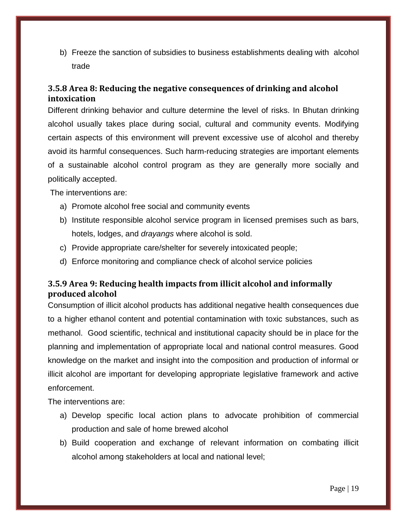b) Freeze the sanction of subsidies to business establishments dealing with alcohol trade

## <span id="page-18-0"></span>**3.5.8 Area 8: Reducing the negative consequences of drinking and alcohol intoxication**

Different drinking behavior and culture determine the level of risks. In Bhutan drinking alcohol usually takes place during social, cultural and community events. Modifying certain aspects of this environment will prevent excessive use of alcohol and thereby avoid its harmful consequences. Such harm-reducing strategies are important elements of a sustainable alcohol control program as they are generally more socially and politically accepted.

The interventions are:

- a) Promote alcohol free social and community events
- b) Institute responsible alcohol service program in licensed premises such as bars, hotels, lodges, and *drayangs* where alcohol is sold.
- c) Provide appropriate care/shelter for severely intoxicated people;
- d) Enforce monitoring and compliance check of alcohol service policies

## <span id="page-18-1"></span>**3.5.9 Area 9: Reducing health impacts from illicit alcohol and informally produced alcohol**

Consumption of illicit alcohol products has additional negative health consequences due to a higher ethanol content and potential contamination with toxic substances, such as methanol. Good scientific, technical and institutional capacity should be in place for the planning and implementation of appropriate local and national control measures. Good knowledge on the market and insight into the composition and production of informal or illicit alcohol are important for developing appropriate legislative framework and active enforcement.

The interventions are:

- a) Develop specific local action plans to advocate prohibition of commercial production and sale of home brewed alcohol
- b) Build cooperation and exchange of relevant information on combating illicit alcohol among stakeholders at local and national level;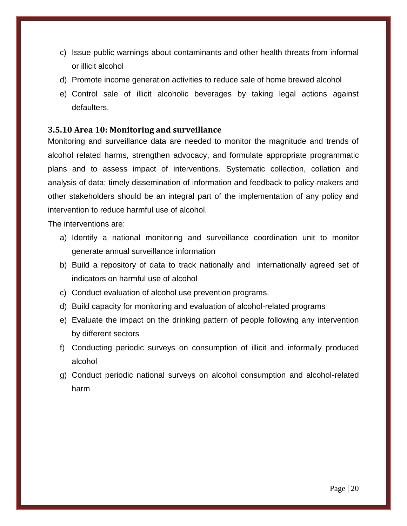- c) Issue public warnings about contaminants and other health threats from informal or illicit alcohol
- d) Promote income generation activities to reduce sale of home brewed alcohol
- e) Control sale of illicit alcoholic beverages by taking legal actions against defaulters.

### <span id="page-19-0"></span>**3.5.10 Area 10: Monitoring and surveillance**

Monitoring and surveillance data are needed to monitor the magnitude and trends of alcohol related harms, strengthen advocacy, and formulate appropriate programmatic plans and to assess impact of interventions. Systematic collection, collation and analysis of data; timely dissemination of information and feedback to policy-makers and other stakeholders should be an integral part of the implementation of any policy and intervention to reduce harmful use of alcohol.

The interventions are:

- a) Identify a national monitoring and surveillance coordination unit to monitor generate annual surveillance information
- b) Build a repository of data to track nationally and internationally agreed set of indicators on harmful use of alcohol
- c) Conduct evaluation of alcohol use prevention programs.
- d) Build capacity for monitoring and evaluation of alcohol-related programs
- e) Evaluate the impact on the drinking pattern of people following any intervention by different sectors
- f) Conducting periodic surveys on consumption of illicit and informally produced alcohol
- g) Conduct periodic national surveys on alcohol consumption and alcohol-related harm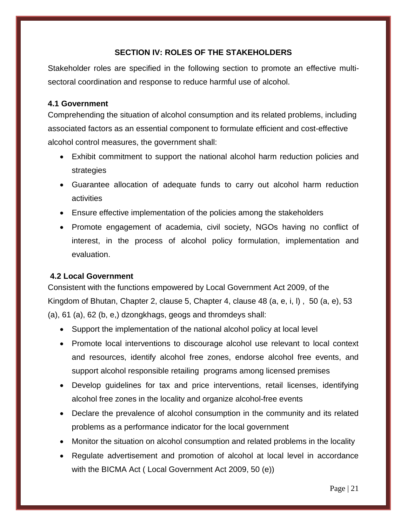### **SECTION IV: ROLES OF THE STAKEHOLDERS**

<span id="page-20-0"></span>Stakeholder roles are specified in the following section to promote an effective multisectoral coordination and response to reduce harmful use of alcohol.

#### <span id="page-20-1"></span>**4.1 Government**

Comprehending the situation of alcohol consumption and its related problems, including associated factors as an essential component to formulate efficient and cost-effective alcohol control measures, the government shall:

- Exhibit commitment to support the national alcohol harm reduction policies and strategies
- Guarantee allocation of adequate funds to carry out alcohol harm reduction activities
- Ensure effective implementation of the policies among the stakeholders
- Promote engagement of academia, civil society, NGOs having no conflict of interest, in the process of alcohol policy formulation, implementation and evaluation.

#### <span id="page-20-2"></span>**4.2 Local Government**

Consistent with the functions empowered by Local Government Act 2009, of the Kingdom of Bhutan, Chapter 2, clause 5, Chapter 4, clause 48 (a, e, i, l) , 50 (a, e), 53 (a), 61 (a), 62 (b, e,) dzongkhags, geogs and thromdeys shall:

- Support the implementation of the national alcohol policy at local level
- Promote local interventions to discourage alcohol use relevant to local context and resources, identify alcohol free zones, endorse alcohol free events, and support alcohol responsible retailing programs among licensed premises
- Develop guidelines for tax and price interventions, retail licenses, identifying alcohol free zones in the locality and organize alcohol-free events
- Declare the prevalence of alcohol consumption in the community and its related problems as a performance indicator for the local government
- Monitor the situation on alcohol consumption and related problems in the locality
- Regulate advertisement and promotion of alcohol at local level in accordance with the BICMA Act ( Local Government Act 2009, 50 (e))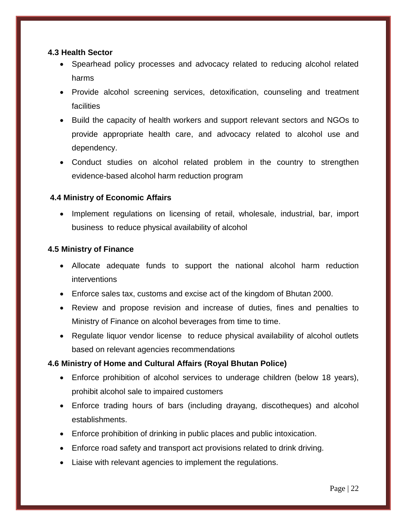#### <span id="page-21-0"></span>**4.3 Health Sector**

- Spearhead policy processes and advocacy related to reducing alcohol related harms
- Provide alcohol screening services, detoxification, counseling and treatment facilities
- Build the capacity of health workers and support relevant sectors and NGOs to provide appropriate health care, and advocacy related to alcohol use and dependency.
- Conduct studies on alcohol related problem in the country to strengthen evidence-based alcohol harm reduction program

## <span id="page-21-1"></span>**4.4 Ministry of Economic Affairs**

• Implement regulations on licensing of retail, wholesale, industrial, bar, import business to reduce physical availability of alcohol

#### <span id="page-21-2"></span>**4.5 Ministry of Finance**

- Allocate adequate funds to support the national alcohol harm reduction interventions
- Enforce sales tax, customs and excise act of the kingdom of Bhutan 2000.
- Review and propose revision and increase of duties, fines and penalties to Ministry of Finance on alcohol beverages from time to time.
- Regulate liquor vendor license to reduce physical availability of alcohol outlets based on relevant agencies recommendations

#### **4.6 Ministry of Home and Cultural Affairs (Royal Bhutan Police)**

- Enforce prohibition of alcohol services to underage children (below 18 years), prohibit alcohol sale to impaired customers
- Enforce trading hours of bars (including drayang, discotheques) and alcohol establishments.
- Enforce prohibition of drinking in public places and public intoxication.
- Enforce road safety and transport act provisions related to drink driving.
- Liaise with relevant agencies to implement the regulations.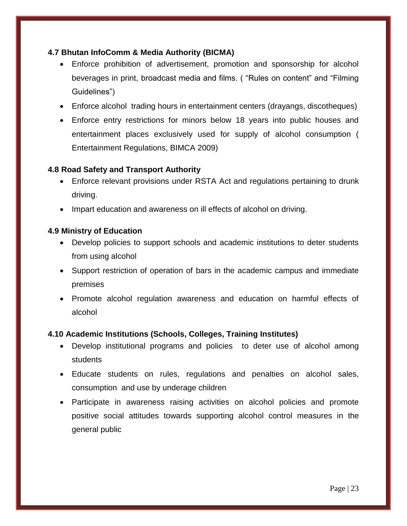## <span id="page-22-0"></span>**4.7 Bhutan InfoComm & Media Authority (BICMA)**

- Enforce prohibition of advertisement, promotion and sponsorship for alcohol beverages in print, broadcast media and films. ( "Rules on content" and "Filming Guidelines")
- Enforce alcohol trading hours in entertainment centers (drayangs, discotheques)
- Enforce entry restrictions for minors below 18 years into public houses and entertainment places exclusively used for supply of alcohol consumption ( Entertainment Regulations, BIMCA 2009)

## <span id="page-22-1"></span>**4.8 Road Safety and Transport Authority**

- Enforce relevant provisions under RSTA Act and regulations pertaining to drunk driving.
- Impart education and awareness on ill effects of alcohol on driving.

#### <span id="page-22-2"></span>**4.9 Ministry of Education**

- Develop policies to support schools and academic institutions to deter students from using alcohol
- Support restriction of operation of bars in the academic campus and immediate premises
- Promote alcohol regulation awareness and education on harmful effects of alcohol

#### <span id="page-22-3"></span>**4.10 Academic Institutions (Schools, Colleges, Training Institutes)**

- Develop institutional programs and policies to deter use of alcohol among students
- Educate students on rules, regulations and penalties on alcohol sales, consumption and use by underage children
- Participate in awareness raising activities on alcohol policies and promote positive social attitudes towards supporting alcohol control measures in the general public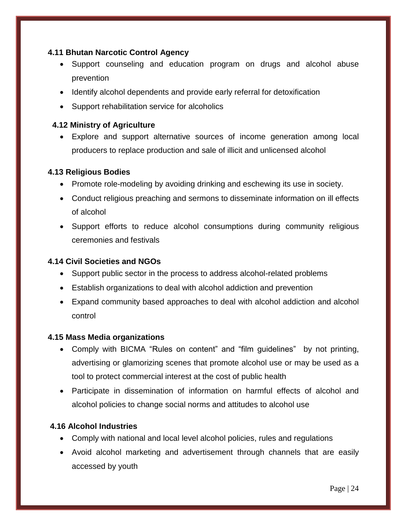### <span id="page-23-0"></span>**4.11 Bhutan Narcotic Control Agency**

- Support counseling and education program on drugs and alcohol abuse prevention
- Identify alcohol dependents and provide early referral for detoxification
- Support rehabilitation service for alcoholics

## <span id="page-23-1"></span> **4.12 Ministry of Agriculture**

 Explore and support alternative sources of income generation among local producers to replace production and sale of illicit and unlicensed alcohol

#### <span id="page-23-2"></span>**4.13 Religious Bodies**

- Promote role-modeling by avoiding drinking and eschewing its use in society.
- Conduct religious preaching and sermons to disseminate information on ill effects of alcohol
- Support efforts to reduce alcohol consumptions during community religious ceremonies and festivals

#### <span id="page-23-3"></span>**4.14 Civil Societies and NGOs**

- Support public sector in the process to address alcohol-related problems
- Establish organizations to deal with alcohol addiction and prevention
- Expand community based approaches to deal with alcohol addiction and alcohol control

#### <span id="page-23-4"></span>**4.15 Mass Media organizations**

- Comply with BICMA "Rules on content" and "film guidelines" by not printing, advertising or glamorizing scenes that promote alcohol use or may be used as a tool to protect commercial interest at the cost of public health
- Participate in dissemination of information on harmful effects of alcohol and alcohol policies to change social norms and attitudes to alcohol use

## <span id="page-23-5"></span>**4.16 Alcohol Industries**

- Comply with national and local level alcohol policies, rules and regulations
- Avoid alcohol marketing and advertisement through channels that are easily accessed by youth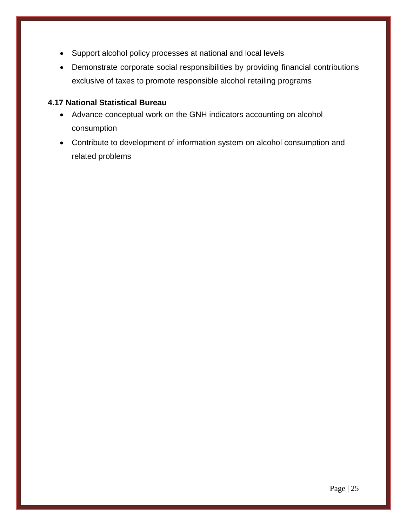- Support alcohol policy processes at national and local levels
- Demonstrate corporate social responsibilities by providing financial contributions exclusive of taxes to promote responsible alcohol retailing programs

#### <span id="page-24-0"></span>**4.17 National Statistical Bureau**

- Advance conceptual work on the GNH indicators accounting on alcohol consumption
- Contribute to development of information system on alcohol consumption and related problems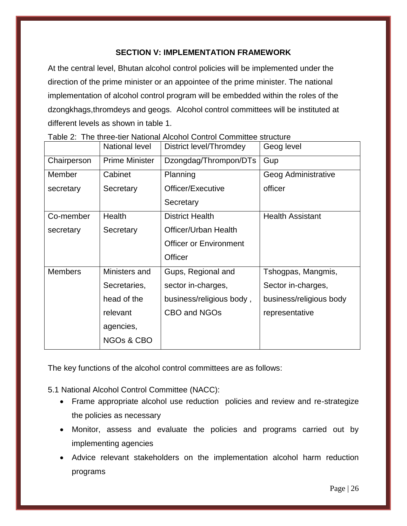## **SECTION V: IMPLEMENTATION FRAMEWORK**

<span id="page-25-0"></span>At the central level, Bhutan alcohol control policies will be implemented under the direction of the prime minister or an appointee of the prime minister. The national implementation of alcohol control program will be embedded within the roles of the dzongkhags,thromdeys and geogs. Alcohol control committees will be instituted at different levels as shown in table 1.

|                | National level         | District level/Thromdey       | Geog level              |
|----------------|------------------------|-------------------------------|-------------------------|
| Chairperson    | <b>Prime Minister</b>  | Dzongdag/Thrompon/DTs         | Gup                     |
| Member         | Cabinet                | Planning                      | Geog Administrative     |
| secretary      | Secretary              | Officer/Executive             | officer                 |
|                |                        | Secretary                     |                         |
| Co-member      | <b>Health</b>          | <b>District Health</b>        | <b>Health Assistant</b> |
| secretary      | Secretary              | Officer/Urban Health          |                         |
|                |                        | <b>Officer or Environment</b> |                         |
|                |                        | Officer                       |                         |
| <b>Members</b> | Ministers and          | Gups, Regional and            | Tshogpas, Mangmis,      |
|                | Secretaries,           | sector in-charges,            | Sector in-charges,      |
|                | head of the            | business/religious body,      | business/religious body |
|                | relevant               | CBO and NGOs                  | representative          |
|                | agencies,              |                               |                         |
|                | NGO <sub>s</sub> & CBO |                               |                         |

|  |  |  |  |  |  | Table 2: The three-tier National Alcohol Control Committee structure |
|--|--|--|--|--|--|----------------------------------------------------------------------|
|--|--|--|--|--|--|----------------------------------------------------------------------|

The key functions of the alcohol control committees are as follows:

<span id="page-25-1"></span>5.1 National Alcohol Control Committee (NACC):

- Frame appropriate alcohol use reduction policies and review and re-strategize the policies as necessary
- Monitor, assess and evaluate the policies and programs carried out by implementing agencies
- Advice relevant stakeholders on the implementation alcohol harm reduction programs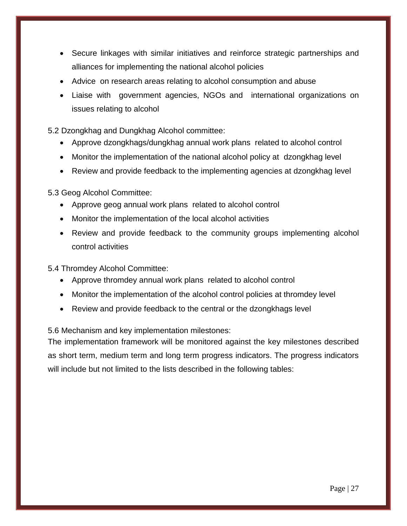- Secure linkages with similar initiatives and reinforce strategic partnerships and alliances for implementing the national alcohol policies
- Advice on research areas relating to alcohol consumption and abuse
- Liaise with government agencies, NGOs and international organizations on issues relating to alcohol

<span id="page-26-0"></span>5.2 Dzongkhag and Dungkhag Alcohol committee:

- Approve dzongkhags/dungkhag annual work plans related to alcohol control
- Monitor the implementation of the national alcohol policy at dzongkhag level
- Review and provide feedback to the implementing agencies at dzongkhag level

<span id="page-26-1"></span>5.3 Geog Alcohol Committee:

- Approve geog annual work plans related to alcohol control
- Monitor the implementation of the local alcohol activities
- Review and provide feedback to the community groups implementing alcohol control activities

<span id="page-26-2"></span>5.4 Thromdey Alcohol Committee:

- Approve thromdey annual work plans related to alcohol control
- Monitor the implementation of the alcohol control policies at thromdey level
- Review and provide feedback to the central or the dzongkhags level

<span id="page-26-3"></span>5.6 Mechanism and key implementation milestones:

The implementation framework will be monitored against the key milestones described as short term, medium term and long term progress indicators. The progress indicators will include but not limited to the lists described in the following tables: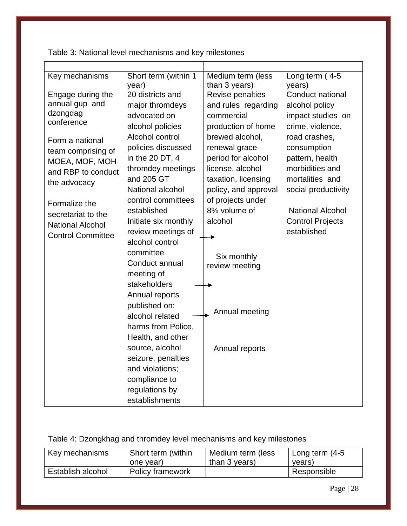Table 3: National level mechanisms and key milestones

| Key mechanisms           | Short term (within 1<br>year) | Medium term (less<br>than 3 years) | Long term $(4-5)$<br>years) |
|--------------------------|-------------------------------|------------------------------------|-----------------------------|
| Engage during the        | $\overline{20}$ districts and | Revise penalties                   | Conduct national            |
| annual gup and           | major thromdeys               | and rules regarding                | alcohol policy              |
| dzongdag<br>conference   | advocated on                  | commercial                         | impact studies on           |
|                          | alcohol policies              | production of home                 | crime, violence,            |
| Form a national          | Alcohol control               | brewed alcohol,                    | road crashes,               |
| team comprising of       | policies discussed            | renewal grace                      | consumption                 |
| MOEA, MOF, MOH           | in the 20 DT, 4               | period for alcohol                 | pattern, health             |
| and RBP to conduct       | thromdey meetings             | license, alcohol                   | morbidities and             |
| the advocacy             | and 205 GT                    | taxation, licensing                | mortalities and             |
|                          | National alcohol              | policy, and approval               | social productivity         |
| Formalize the            | control committees            | of projects under                  |                             |
| secretariat to the       | established                   | 8% volume of                       | <b>National Alcohol</b>     |
| <b>National Alcohol</b>  | Initiate six monthly          | alcohol                            | <b>Control Projects</b>     |
| <b>Control Committee</b> | review meetings of            |                                    | established                 |
|                          | alcohol control               |                                    |                             |
|                          | committee                     | Six monthly                        |                             |
|                          | Conduct annual                | review meeting                     |                             |
|                          | meeting of                    |                                    |                             |
|                          | stakeholders                  |                                    |                             |
|                          | Annual reports                |                                    |                             |
|                          | published on:                 | Annual meeting                     |                             |
|                          | alcohol related               |                                    |                             |
|                          | harms from Police,            |                                    |                             |
|                          | Health, and other             |                                    |                             |
|                          | source, alcohol               | Annual reports                     |                             |
|                          | seizure, penalties            |                                    |                             |
|                          | and violations;               |                                    |                             |
|                          | compliance to                 |                                    |                             |
|                          | regulations by                |                                    |                             |
|                          | establishments                |                                    |                             |

# Table 4: Dzongkhag and thromdey level mechanisms and key milestones

| Key mechanisms    | Short term (within      | <b>Medium term (less</b> | <sup>1</sup> Long term (4-5 |
|-------------------|-------------------------|--------------------------|-----------------------------|
|                   | one year)               | than 3 years)            | years)                      |
| Establish alcohol | <b>Policy framework</b> |                          | Responsible                 |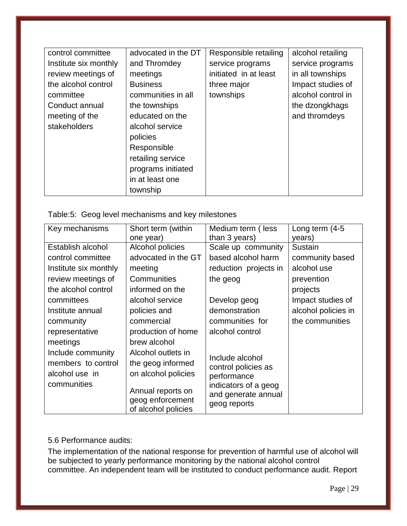| control committee     | advocated in the DT | Responsible retailing | alcohol retailing  |
|-----------------------|---------------------|-----------------------|--------------------|
| Institute six monthly | and Thromdey        | service programs      | service programs   |
| review meetings of    | meetings            | initiated in at least | in all townships   |
| the alcohol control   | <b>Business</b>     | three major           | Impact studies of  |
| committee             | communities in all  | townships             | alcohol control in |
| Conduct annual        | the townships       |                       | the dzongkhags     |
| meeting of the        | educated on the     |                       | and thromdeys      |
| stakeholders          | alcohol service     |                       |                    |
|                       | policies            |                       |                    |
|                       | Responsible         |                       |                    |
|                       | retailing service   |                       |                    |
|                       | programs initiated  |                       |                    |
|                       | in at least one     |                       |                    |
|                       | township            |                       |                    |

#### Table:5: Geog level mechanisms and key milestones

| Key mechanisms        | Short term (within                                           | Medium term (less                                           | Long term $(4-5)$   |
|-----------------------|--------------------------------------------------------------|-------------------------------------------------------------|---------------------|
|                       | one year)                                                    | than 3 years)                                               | years)              |
| Establish alcohol     | Alcohol policies                                             | Scale up community                                          | Sustain             |
| control committee     | advocated in the GT                                          | based alcohol harm                                          | community based     |
| Institute six monthly | meeting                                                      | reduction projects in                                       | alcohol use         |
| review meetings of    | Communities                                                  | the geog                                                    | prevention          |
| the alcohol control   | informed on the                                              |                                                             | projects            |
| committees            | alcohol service                                              | Develop geog                                                | Impact studies of   |
| Institute annual      | policies and                                                 | demonstration                                               | alcohol policies in |
| community             | commercial                                                   | communities for                                             | the communities     |
| representative        | production of home                                           | alcohol control                                             |                     |
| meetings              | brew alcohol                                                 |                                                             |                     |
| Include community     | Alcohol outlets in                                           | Include alcohol                                             |                     |
| members to control    | the geog informed                                            | control policies as                                         |                     |
| alcohol use in        | on alcohol policies                                          | performance                                                 |                     |
| communities           | Annual reports on<br>geog enforcement<br>of alcohol policies | indicators of a geog<br>and generate annual<br>geog reports |                     |

#### <span id="page-28-0"></span>5.6 Performance audits:

The implementation of the national response for prevention of harmful use of alcohol will be subjected to yearly performance monitoring by the national alcohol control committee. An independent team will be instituted to conduct performance audit. Report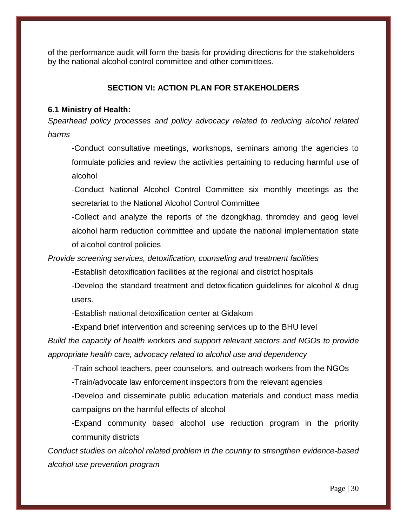<span id="page-29-0"></span>of the performance audit will form the basis for providing directions for the stakeholders by the national alcohol control committee and other committees.

## **SECTION VI: ACTION PLAN FOR STAKEHOLDERS**

#### <span id="page-29-1"></span>**6.1 Ministry of Health:**

*Spearhead policy processes and policy advocacy related to reducing alcohol related harms* 

-Conduct consultative meetings, workshops, seminars among the agencies to formulate policies and review the activities pertaining to reducing harmful use of alcohol

-Conduct National Alcohol Control Committee six monthly meetings as the secretariat to the National Alcohol Control Committee

-Collect and analyze the reports of the dzongkhag, thromdey and geog level alcohol harm reduction committee and update the national implementation state of alcohol control policies

*Provide screening services, detoxification, counseling and treatment facilities*

-Establish detoxification facilities at the regional and district hospitals

-Develop the standard treatment and detoxification guidelines for alcohol & drug users.

-Establish national detoxification center at Gidakom

-Expand brief intervention and screening services up to the BHU level

*Build the capacity of health workers and support relevant sectors and NGOs to provide appropriate health care, advocacy related to alcohol use and dependency*

-Train school teachers, peer counselors, and outreach workers from the NGOs

-Train/advocate law enforcement inspectors from the relevant agencies

-Develop and disseminate public education materials and conduct mass media campaigns on the harmful effects of alcohol

-Expand community based alcohol use reduction program in the priority community districts

*Conduct studies on alcohol related problem in the country to strengthen evidence-based alcohol use prevention program*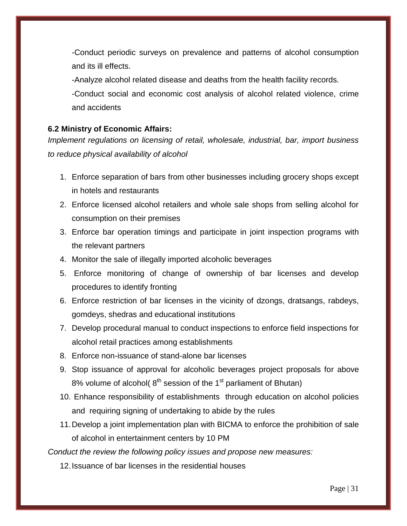-Conduct periodic surveys on prevalence and patterns of alcohol consumption and its ill effects.

-Analyze alcohol related disease and deaths from the health facility records.

-Conduct social and economic cost analysis of alcohol related violence, crime and accidents

#### <span id="page-30-0"></span>**6.2 Ministry of Economic Affairs:**

*Implement regulations on licensing of retail, wholesale, industrial, bar, import business to reduce physical availability of alcohol* 

- 1. Enforce separation of bars from other businesses including grocery shops except in hotels and restaurants
- 2. Enforce licensed alcohol retailers and whole sale shops from selling alcohol for consumption on their premises
- 3. Enforce bar operation timings and participate in joint inspection programs with the relevant partners
- 4. Monitor the sale of illegally imported alcoholic beverages
- 5. Enforce monitoring of change of ownership of bar licenses and develop procedures to identify fronting
- 6. Enforce restriction of bar licenses in the vicinity of dzongs, dratsangs, rabdeys, gomdeys, shedras and educational institutions
- 7. Develop procedural manual to conduct inspections to enforce field inspections for alcohol retail practices among establishments
- 8. Enforce non-issuance of stand-alone bar licenses
- 9. Stop issuance of approval for alcoholic beverages project proposals for above 8% volume of alcohol( $8<sup>th</sup>$  session of the 1<sup>st</sup> parliament of Bhutan)
- 10. Enhance responsibility of establishments through education on alcohol policies and requiring signing of undertaking to abide by the rules
- 11.Develop a joint implementation plan with BICMA to enforce the prohibition of sale of alcohol in entertainment centers by 10 PM

*Conduct the review the following policy issues and propose new measures:*

12.Issuance of bar licenses in the residential houses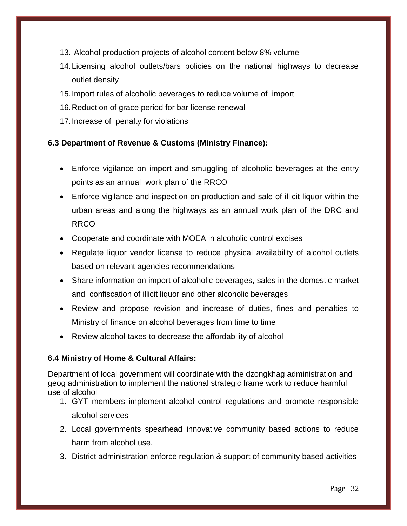- 13. Alcohol production projects of alcohol content below 8% volume
- 14.Licensing alcohol outlets/bars policies on the national highways to decrease outlet density
- 15.Import rules of alcoholic beverages to reduce volume of import
- 16.Reduction of grace period for bar license renewal
- 17.Increase of penalty for violations

## <span id="page-31-0"></span>**6.3 Department of Revenue & Customs (Ministry Finance):**

- Enforce vigilance on import and smuggling of alcoholic beverages at the entry points as an annual work plan of the RRCO
- Enforce vigilance and inspection on production and sale of illicit liquor within the urban areas and along the highways as an annual work plan of the DRC and RRCO
- Cooperate and coordinate with MOEA in alcoholic control excises
- Regulate liquor vendor license to reduce physical availability of alcohol outlets based on relevant agencies recommendations
- Share information on import of alcoholic beverages, sales in the domestic market and confiscation of illicit liquor and other alcoholic beverages
- Review and propose revision and increase of duties, fines and penalties to Ministry of finance on alcohol beverages from time to time
- Review alcohol taxes to decrease the affordability of alcohol

## <span id="page-31-1"></span>**6.4 Ministry of Home & Cultural Affairs:**

Department of local government will coordinate with the dzongkhag administration and geog administration to implement the national strategic frame work to reduce harmful use of alcohol

- 1. GYT members implement alcohol control regulations and promote responsible alcohol services
- 2. Local governments spearhead innovative community based actions to reduce harm from alcohol use.
- 3. District administration enforce regulation & support of community based activities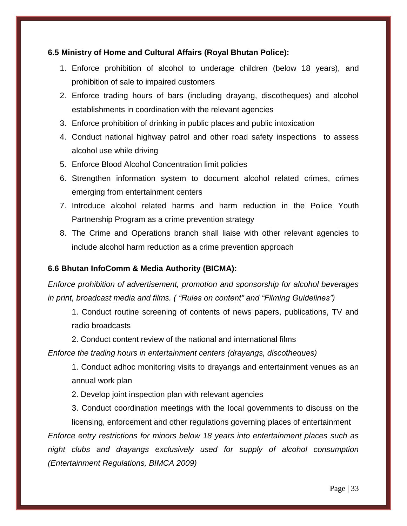### <span id="page-32-0"></span>**6.5 Ministry of Home and Cultural Affairs (Royal Bhutan Police):**

- 1. Enforce prohibition of alcohol to underage children (below 18 years), and prohibition of sale to impaired customers
- 2. Enforce trading hours of bars (including drayang, discotheques) and alcohol establishments in coordination with the relevant agencies
- 3. Enforce prohibition of drinking in public places and public intoxication
- 4. Conduct national highway patrol and other road safety inspections to assess alcohol use while driving
- 5. Enforce Blood Alcohol Concentration limit policies
- 6. Strengthen information system to document alcohol related crimes, crimes emerging from entertainment centers
- 7. Introduce alcohol related harms and harm reduction in the Police Youth Partnership Program as a crime prevention strategy
- 8. The Crime and Operations branch shall liaise with other relevant agencies to include alcohol harm reduction as a crime prevention approach

## <span id="page-32-1"></span>**6.6 Bhutan InfoComm & Media Authority (BICMA):**

*Enforce prohibition of advertisement, promotion and sponsorship for alcohol beverages in print, broadcast media and films. ( "Rules on content" and "Filming Guidelines")*

1. Conduct routine screening of contents of news papers, publications, TV and radio broadcasts

2. Conduct content review of the national and international films

*Enforce the trading hours in entertainment centers (drayangs, discotheques)*

1. Conduct adhoc monitoring visits to drayangs and entertainment venues as an annual work plan

2. Develop joint inspection plan with relevant agencies

3. Conduct coordination meetings with the local governments to discuss on the licensing, enforcement and other regulations governing places of entertainment *Enforce entry restrictions for minors below 18 years into entertainment places such as* 

*night clubs and drayangs exclusively used for supply of alcohol consumption (Entertainment Regulations, BIMCA 2009)*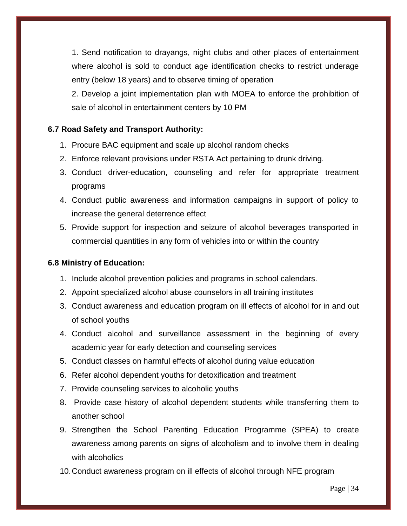1. Send notification to drayangs, night clubs and other places of entertainment where alcohol is sold to conduct age identification checks to restrict underage entry (below 18 years) and to observe timing of operation

2. Develop a joint implementation plan with MOEA to enforce the prohibition of sale of alcohol in entertainment centers by 10 PM

#### <span id="page-33-0"></span>**6.7 Road Safety and Transport Authority:**

- 1. Procure BAC equipment and scale up alcohol random checks
- 2. Enforce relevant provisions under RSTA Act pertaining to drunk driving.
- 3. Conduct driver-education, counseling and refer for appropriate treatment programs
- 4. Conduct public awareness and information campaigns in support of policy to increase the general deterrence effect
- 5. Provide support for inspection and seizure of alcohol beverages transported in commercial quantities in any form of vehicles into or within the country

#### <span id="page-33-1"></span>**6.8 Ministry of Education:**

- 1. Include alcohol prevention policies and programs in school calendars.
- 2. Appoint specialized alcohol abuse counselors in all training institutes
- 3. Conduct awareness and education program on ill effects of alcohol for in and out of school youths
- 4. Conduct alcohol and surveillance assessment in the beginning of every academic year for early detection and counseling services
- 5. Conduct classes on harmful effects of alcohol during value education
- 6. Refer alcohol dependent youths for detoxification and treatment
- 7. Provide counseling services to alcoholic youths
- 8. Provide case history of alcohol dependent students while transferring them to another school
- 9. Strengthen the School Parenting Education Programme (SPEA) to create awareness among parents on signs of alcoholism and to involve them in dealing with alcoholics
- 10.Conduct awareness program on ill effects of alcohol through NFE program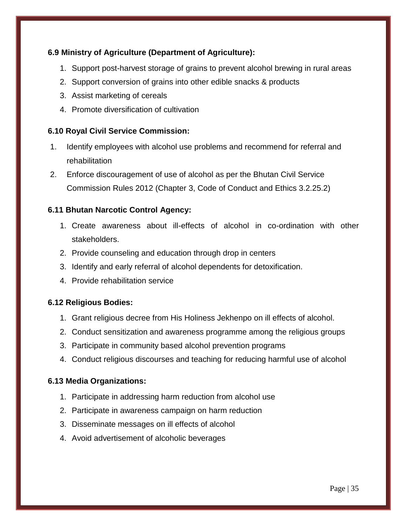## <span id="page-34-0"></span>**6.9 Ministry of Agriculture (Department of Agriculture):**

- 1. Support post-harvest storage of grains to prevent alcohol brewing in rural areas
- 2. Support conversion of grains into other edible snacks & products
- 3. Assist marketing of cereals
- 4. Promote diversification of cultivation

## <span id="page-34-1"></span>**6.10 Royal Civil Service Commission:**

- 1. Identify employees with alcohol use problems and recommend for referral and rehabilitation
- 2. Enforce discouragement of use of alcohol as per the Bhutan Civil Service Commission Rules 2012 (Chapter 3, Code of Conduct and Ethics 3.2.25.2)

## <span id="page-34-2"></span>**6.11 Bhutan Narcotic Control Agency:**

- 1. Create awareness about ill-effects of alcohol in co-ordination with other stakeholders.
- 2. Provide counseling and education through drop in centers
- 3. Identify and early referral of alcohol dependents for detoxification.
- 4. Provide rehabilitation service

#### <span id="page-34-3"></span>**6.12 Religious Bodies:**

- 1. Grant religious decree from His Holiness Jekhenpo on ill effects of alcohol.
- 2. Conduct sensitization and awareness programme among the religious groups
- 3. Participate in community based alcohol prevention programs
- 4. Conduct religious discourses and teaching for reducing harmful use of alcohol

#### <span id="page-34-4"></span>**6.13 Media Organizations:**

- 1. Participate in addressing harm reduction from alcohol use
- 2. Participate in awareness campaign on harm reduction
- 3. Disseminate messages on ill effects of alcohol
- 4. Avoid advertisement of alcoholic beverages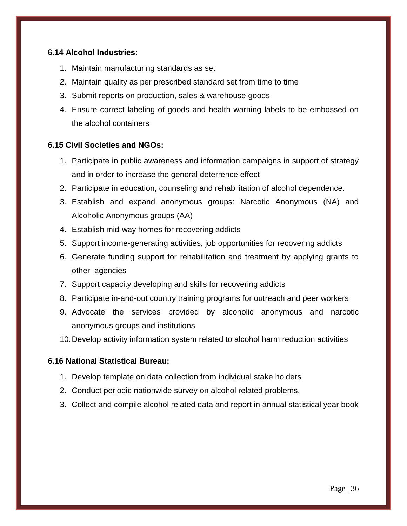### <span id="page-35-0"></span>**6.14 Alcohol Industries:**

- 1. Maintain manufacturing standards as set
- 2. Maintain quality as per prescribed standard set from time to time
- 3. Submit reports on production, sales & warehouse goods
- 4. Ensure correct labeling of goods and health warning labels to be embossed on the alcohol containers

## <span id="page-35-1"></span>**6.15 Civil Societies and NGOs:**

- 1. Participate in public awareness and information campaigns in support of strategy and in order to increase the general deterrence effect
- 2. Participate in education, counseling and rehabilitation of alcohol dependence.
- 3. Establish and expand anonymous groups: Narcotic Anonymous (NA) and Alcoholic Anonymous groups (AA)
- 4. Establish mid-way homes for recovering addicts
- 5. Support income-generating activities, job opportunities for recovering addicts
- 6. Generate funding support for rehabilitation and treatment by applying grants to other agencies
- 7. Support capacity developing and skills for recovering addicts
- 8. Participate in-and-out country training programs for outreach and peer workers
- 9. Advocate the services provided by alcoholic anonymous and narcotic anonymous groups and institutions
- 10.Develop activity information system related to alcohol harm reduction activities

#### <span id="page-35-2"></span>**6.16 National Statistical Bureau:**

- 1. Develop template on data collection from individual stake holders
- 2. Conduct periodic nationwide survey on alcohol related problems.
- 3. Collect and compile alcohol related data and report in annual statistical year book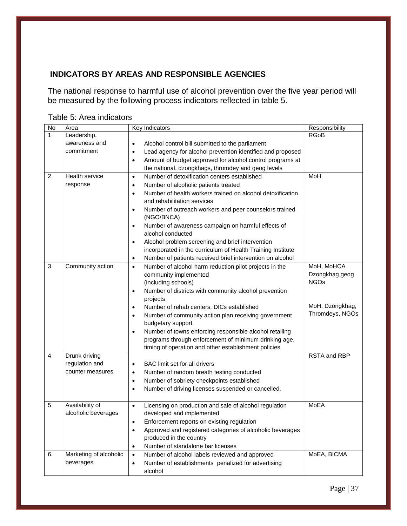## <span id="page-36-0"></span>**INDICATORS BY AREAS AND RESPONSIBLE AGENCIES**

<span id="page-36-1"></span>The national response to harmful use of alcohol prevention over the five year period will be measured by the following process indicators reflected in table 5.

<span id="page-36-2"></span>

|  |  |  |  | Table 5: Area indicators |
|--|--|--|--|--------------------------|
|--|--|--|--|--------------------------|

| No             | Area                   | Key Indicators                                                                         | Responsibility                     |
|----------------|------------------------|----------------------------------------------------------------------------------------|------------------------------------|
| $\mathbf{1}$   | Leadership,            |                                                                                        | <b>RGoB</b>                        |
|                | awareness and          | Alcohol control bill submitted to the parliament<br>$\bullet$                          |                                    |
|                | commitment             | Lead agency for alcohol prevention identified and proposed<br>$\bullet$                |                                    |
|                |                        | Amount of budget approved for alcohol control programs at<br>$\bullet$                 |                                    |
|                |                        | the national, dzongkhags, thromdey and geog levels                                     |                                    |
| $\overline{2}$ | Health service         | Number of detoxification centers established<br>$\bullet$                              | MoH                                |
|                | response               | Number of alcoholic patients treated<br>$\bullet$                                      |                                    |
|                |                        | Number of health workers trained on alcohol detoxification<br>$\bullet$                |                                    |
|                |                        | and rehabilitation services                                                            |                                    |
|                |                        | Number of outreach workers and peer counselors trained<br>$\bullet$                    |                                    |
|                |                        | (NGO/BNCA)                                                                             |                                    |
|                |                        | Number of awareness campaign on harmful effects of<br>$\bullet$                        |                                    |
|                |                        | alcohol conducted                                                                      |                                    |
|                |                        | Alcohol problem screening and brief intervention<br>$\bullet$                          |                                    |
|                |                        | incorporated in the curriculum of Health Training Institute                            |                                    |
|                |                        | Number of patients received brief intervention on alcohol<br>٠                         |                                    |
| 3              | Community action       | Number of alcohol harm reduction pilot projects in the<br>$\bullet$                    | MoH, MoHCA                         |
|                |                        | community implemented                                                                  | Dzongkhag, geog                    |
|                |                        | (including schools)                                                                    | <b>NGOs</b>                        |
|                |                        | Number of districts with community alcohol prevention<br>$\bullet$                     |                                    |
|                |                        | projects                                                                               |                                    |
|                |                        | Number of rehab centers, DICs established<br>$\bullet$                                 | MoH, Dzongkhag,<br>Thromdeys, NGOs |
|                |                        | Number of community action plan receiving government<br>$\bullet$<br>budgetary support |                                    |
|                |                        | Number of towns enforcing responsible alcohol retailing<br>$\bullet$                   |                                    |
|                |                        | programs through enforcement of minimum drinking age,                                  |                                    |
|                |                        | timing of operation and other establishment policies                                   |                                    |
| 4              | Drunk driving          |                                                                                        | <b>RSTA and RBP</b>                |
|                | regulation and         | BAC limit set for all drivers<br>$\bullet$                                             |                                    |
|                | counter measures       | Number of random breath testing conducted<br>$\bullet$                                 |                                    |
|                |                        | Number of sobriety checkpoints established<br>$\bullet$                                |                                    |
|                |                        | Number of driving licenses suspended or cancelled.<br>$\bullet$                        |                                    |
|                |                        |                                                                                        |                                    |
| 5              | Availability of        | Licensing on production and sale of alcohol regulation<br>$\bullet$                    | <b>MoEA</b>                        |
|                | alcoholic beverages    | developed and implemented                                                              |                                    |
|                |                        | Enforcement reports on existing regulation                                             |                                    |
|                |                        | Approved and registered categories of alcoholic beverages<br>$\bullet$                 |                                    |
|                |                        | produced in the country                                                                |                                    |
|                |                        | Number of standalone bar licenses<br>$\bullet$                                         |                                    |
| 6.             | Marketing of alcoholic | Number of alcohol labels reviewed and approved<br>$\bullet$                            | MoEA, BICMA                        |
|                | beverages              | Number of establishments penalized for advertising<br>$\bullet$                        |                                    |
|                |                        | alcohol                                                                                |                                    |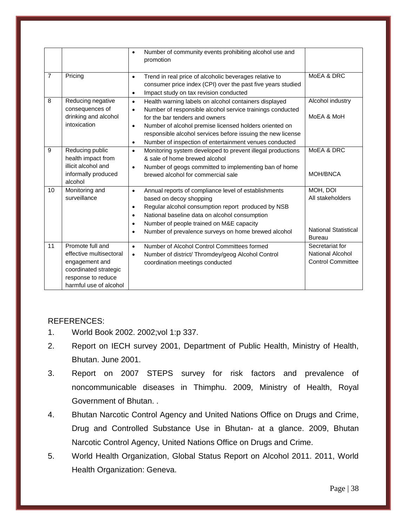|                |                                                                                                                                        | Number of community events prohibiting alcohol use and<br>$\bullet$<br>promotion                                                                                                                                                                                                                                                                                                            |                                                                              |
|----------------|----------------------------------------------------------------------------------------------------------------------------------------|---------------------------------------------------------------------------------------------------------------------------------------------------------------------------------------------------------------------------------------------------------------------------------------------------------------------------------------------------------------------------------------------|------------------------------------------------------------------------------|
| $\overline{7}$ | Pricing                                                                                                                                | Trend in real price of alcoholic beverages relative to<br>$\bullet$<br>consumer price index (CPI) over the past five years studied<br>Impact study on tax revision conducted<br>$\bullet$                                                                                                                                                                                                   | MoEA & DRC                                                                   |
| 8              | Reducing negative<br>consequences of<br>drinking and alcohol<br>intoxication                                                           | Health warning labels on alcohol containers displayed<br>$\bullet$<br>Number of responsible alcohol service trainings conducted<br>$\bullet$<br>for the bar tenders and owners<br>Number of alcohol premise licensed holders oriented on<br>$\bullet$<br>responsible alcohol services before issuing the new license<br>Number of inspection of entertainment venues conducted<br>$\bullet$ | Alcohol industry<br>MoEA & MoH                                               |
| 9              | Reducing public<br>health impact from<br>illicit alcohol and<br>informally produced<br>alcohol                                         | Monitoring system developed to prevent illegal productions<br>$\bullet$<br>& sale of home brewed alcohol<br>Number of geogs committed to implementing ban of home<br>$\bullet$<br>brewed alcohol for commercial sale                                                                                                                                                                        | MoEA & DRC<br>MOH/BNCA                                                       |
| 10             | Monitoring and<br>surveillance                                                                                                         | Annual reports of compliance level of establishments<br>$\bullet$<br>based on decoy shopping<br>Regular alcohol consumption report produced by NSB<br>$\bullet$<br>National baseline data on alcohol consumption<br>$\bullet$<br>Number of people trained on M&E capacity<br>$\bullet$<br>Number of prevalence surveys on home brewed alcohol<br>$\bullet$                                  | MOH, DOI<br>All stakeholders<br><b>National Statistical</b><br><b>Bureau</b> |
| 11             | Promote full and<br>effective multisectoral<br>engagement and<br>coordinated strategic<br>response to reduce<br>harmful use of alcohol | Number of Alcohol Control Committees formed<br>$\bullet$<br>Number of district/ Thromdey/geog Alcohol Control<br>$\bullet$<br>coordination meetings conducted                                                                                                                                                                                                                               | Secretariat for<br><b>National Alcohol</b><br><b>Control Committee</b>       |

#### <span id="page-37-0"></span>REFERENCES:

- 1. World Book 2002. 2002;vol 1:p 337.
- <span id="page-37-1"></span>2. Report on IECH survey 2001, Department of Public Health, Ministry of Health, Bhutan. June 2001.
- <span id="page-37-2"></span>3. Report on 2007 STEPS survey for risk factors and prevalence of noncommunicable diseases in Thimphu. 2009, Ministry of Health, Royal Government of Bhutan. .
- <span id="page-37-3"></span>4. Bhutan Narcotic Control Agency and United Nations Office on Drugs and Crime, Drug and Controlled Substance Use in Bhutan- at a glance. 2009, Bhutan Narcotic Control Agency, United Nations Office on Drugs and Crime.
- 5. World Health Organization, Global Status Report on Alcohol 2011. 2011, World Health Organization: Geneva.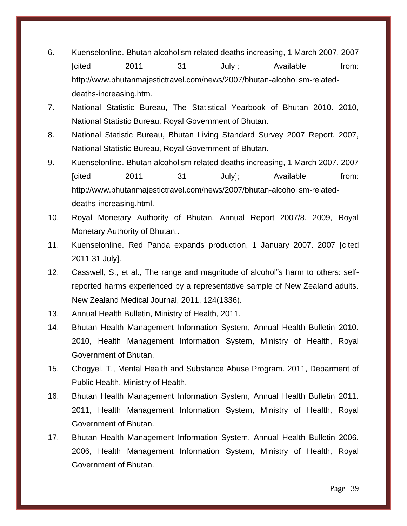- <span id="page-38-0"></span>6. Kuenselonline. Bhutan alcoholism related deaths increasing, 1 March 2007. 2007 [cited 2011 31 July]; Available from: [http://www.bhutanmajestictravel.com/news/2007/bhutan-alcoholism-related](http://www.bhutanmajestictravel.com/news/2007/bhutan-alcoholism-related-deaths-increasing.htm)[deaths-increasing.htm.](http://www.bhutanmajestictravel.com/news/2007/bhutan-alcoholism-related-deaths-increasing.htm)
- <span id="page-38-4"></span>7. National Statistic Bureau, The Statistical Yearbook of Bhutan 2010. 2010, National Statistic Bureau, Royal Government of Bhutan.
- 8. National Statistic Bureau, Bhutan Living Standard Survey 2007 Report. 2007, National Statistic Bureau, Royal Government of Bhutan.
- <span id="page-38-1"></span>9. Kuenselonline. Bhutan alcoholism related deaths increasing, 1 March 2007. 2007 [cited 2011 31 July]; Available from: [http://www.bhutanmajestictravel.com/news/2007/bhutan-alcoholism-related](http://www.bhutanmajestictravel.com/news/2007/bhutan-alcoholism-related-deaths-increasing.html)[deaths-increasing.html.](http://www.bhutanmajestictravel.com/news/2007/bhutan-alcoholism-related-deaths-increasing.html)
- 10. Royal Monetary Authority of Bhutan, Annual Report 2007/8. 2009, Royal Monetary Authority of Bhutan,.
- <span id="page-38-2"></span>11. Kuenselonline. Red Panda expands production, 1 January 2007. 2007 [cited 2011 31 July].
- 12. Casswell, S., et al., The range and magnitude of alcohol"s harm to others: selfreported harms experienced by a representative sample of New Zealand adults. New Zealand Medical Journal, 2011. 124(1336).
- <span id="page-38-3"></span>13. Annual Health Bulletin, Ministry of Health, 2011.
- 14. Bhutan Health Management Information System, Annual Health Bulletin 2010. 2010, Health Management Information System, Ministry of Health, Royal Government of Bhutan.
- <span id="page-38-5"></span>15. Chogyel, T., Mental Health and Substance Abuse Program. 2011, Deparment of Public Health, Ministry of Health.
- 16. Bhutan Health Management Information System, Annual Health Bulletin 2011. 2011, Health Management Information System, Ministry of Health, Royal Government of Bhutan.
- 17. Bhutan Health Management Information System, Annual Health Bulletin 2006. 2006, Health Management Information System, Ministry of Health, Royal Government of Bhutan.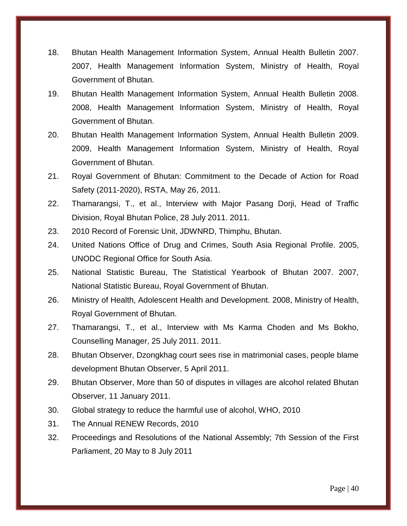- 18. Bhutan Health Management Information System, Annual Health Bulletin 2007. 2007, Health Management Information System, Ministry of Health, Royal Government of Bhutan.
- 19. Bhutan Health Management Information System, Annual Health Bulletin 2008. 2008, Health Management Information System, Ministry of Health, Royal Government of Bhutan.
- 20. Bhutan Health Management Information System, Annual Health Bulletin 2009. 2009, Health Management Information System, Ministry of Health, Royal Government of Bhutan.
- <span id="page-39-0"></span>21. Royal Government of Bhutan: Commitment to the Decade of Action for Road Safety (2011-2020), RSTA, May 26, 2011.
- 22. Thamarangsi, T., et al., Interview with Major Pasang Dorji, Head of Traffic Division, Royal Bhutan Police, 28 July 2011. 2011.
- <span id="page-39-1"></span>23. 2010 Record of Forensic Unit, JDWNRD, Thimphu, Bhutan.
- <span id="page-39-2"></span>24. United Nations Office of Drug and Crimes, South Asia Regional Profile. 2005, UNODC Regional Office for South Asia.
- 25. National Statistic Bureau, The Statistical Yearbook of Bhutan 2007. 2007, National Statistic Bureau, Royal Government of Bhutan.
- <span id="page-39-3"></span>26. Ministry of Health, Adolescent Health and Development. 2008, Ministry of Health, Royal Government of Bhutan.
- <span id="page-39-4"></span>27. Thamarangsi, T., et al., Interview with Ms Karma Choden and Ms Bokho, Counselling Manager, 25 July 2011. 2011.
- <span id="page-39-5"></span>28. Bhutan Observer, Dzongkhag court sees rise in matrimonial cases, people blame development Bhutan Observer, 5 April 2011.
- <span id="page-39-6"></span>29. Bhutan Observer, More than 50 of disputes in villages are alcohol related Bhutan Observer, 11 January 2011.
- 30. Global strategy to reduce the harmful use of alcohol, WHO, 2010
- 31. The Annual RENEW Records, 2010
- 32. Proceedings and Resolutions of the National Assembly; 7th Session of the First Parliament, 20 May to 8 July 2011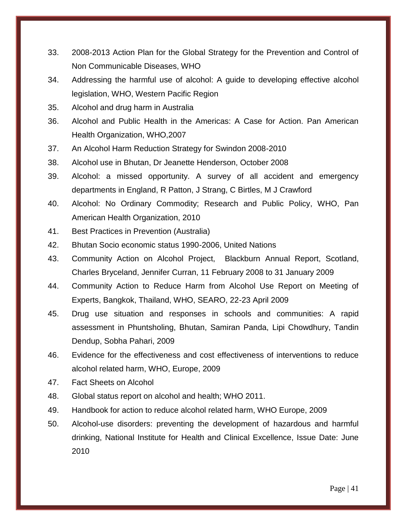- 33. 2008-2013 Action Plan for the Global Strategy for the Prevention and Control of Non Communicable Diseases, WHO
- 34. Addressing the harmful use of alcohol: A guide to developing effective alcohol legislation, WHO, Western Pacific Region
- 35. Alcohol and drug harm in Australia
- 36. Alcohol and Public Health in the Americas: A Case for Action. Pan American Health Organization, WHO,2007
- 37. An Alcohol Harm Reduction Strategy for Swindon 2008-2010
- 38. Alcohol use in Bhutan, Dr Jeanette Henderson, October 2008
- 39. Alcohol: a missed opportunity. A survey of all accident and emergency departments in England, R Patton, J Strang, C Birtles, M J Crawford
- 40. Alcohol: No Ordinary Commodity; Research and Public Policy, WHO, Pan American Health Organization, 2010
- 41. Best Practices in Prevention (Australia)
- 42. Bhutan Socio economic status 1990-2006, United Nations
- 43. Community Action on Alcohol Project, Blackburn Annual Report, Scotland, Charles Bryceland, Jennifer Curran, 11 February 2008 to 31 January 2009
- 44. Community Action to Reduce Harm from Alcohol Use Report on Meeting of Experts, Bangkok, Thailand, WHO, SEARO, 22-23 April 2009
- 45. Drug use situation and responses in schools and communities: A rapid assessment in Phuntsholing, Bhutan, Samiran Panda, Lipi Chowdhury, Tandin Dendup, Sobha Pahari, 2009
- 46. Evidence for the effectiveness and cost effectiveness of interventions to reduce alcohol related harm, WHO, Europe, 2009
- 47. Fact Sheets on Alcohol
- 48. Global status report on alcohol and health; WHO 2011.
- 49. Handbook for action to reduce alcohol related harm, WHO Europe, 2009
- 50. Alcohol-use disorders: preventing the development of hazardous and harmful drinking, National Institute for Health and Clinical Excellence, Issue Date: June 2010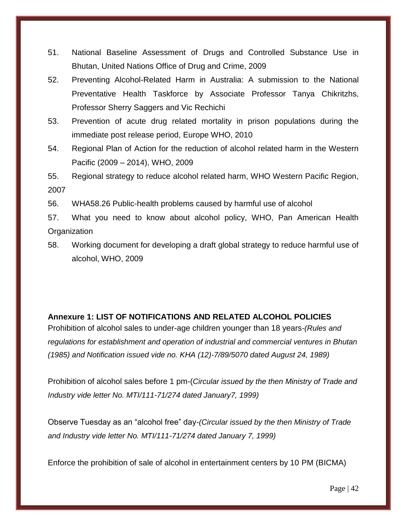- 51. National Baseline Assessment of Drugs and Controlled Substance Use in Bhutan, United Nations Office of Drug and Crime, 2009
- 52. Preventing Alcohol-Related Harm in Australia: A submission to the National Preventative Health Taskforce by Associate Professor Tanya Chikritzhs, Professor Sherry Saggers and Vic Rechichi
- 53. Prevention of acute drug related mortality in prison populations during the immediate post release period, Europe WHO, 2010
- 54. Regional Plan of Action for the reduction of alcohol related harm in the Western Pacific (2009 – 2014), WHO, 2009
- 55. Regional strategy to reduce alcohol related harm, WHO Western Pacific Region, 2007
- 56. WHA58.26 Public-health problems caused by harmful use of alcohol
- 57. What you need to know about alcohol policy, WHO, Pan American Health **Organization**
- 58. Working document for developing a draft global strategy to reduce harmful use of alcohol, WHO, 2009

#### <span id="page-41-0"></span>**Annexure 1: LIST OF NOTIFICATIONS AND RELATED ALCOHOL POLICIES**

Prohibition of alcohol sales to under-age children younger than 18 years*-(Rules and regulations for establishment and operation of industrial and commercial ventures in Bhutan (1985) and Notification issued vide no. KHA (12)-7/89/5070 dated August 24, 1989)*

Prohibition of alcohol sales before 1 pm-(*Circular issued by the then Ministry of Trade and Industry vide letter No. MTI/111-71/274 dated January7, 1999)*

Observe Tuesday as an "alcohol free" day-*(Circular issued by the then Ministry of Trade and Industry vide letter No. MTI/111-71/274 dated January 7, 1999)*

Enforce the prohibition of sale of alcohol in entertainment centers by 10 PM (BICMA)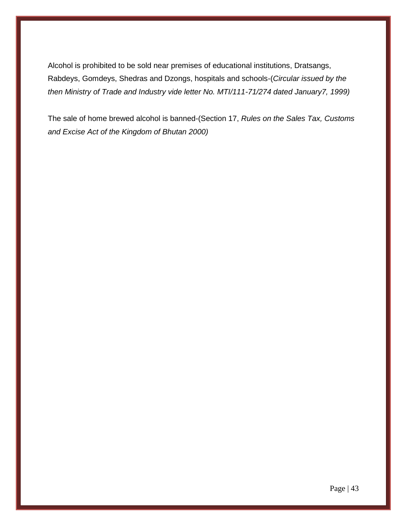Alcohol is prohibited to be sold near premises of educational institutions, Dratsangs, Rabdeys, Gomdeys, Shedras and Dzongs, hospitals and schools-(*Circular issued by the then Ministry of Trade and Industry vide letter No. MTI/111-71/274 dated January7, 1999)*

The sale of home brewed alcohol is banned-(Section 17, *Rules on the Sales Tax, Customs and Excise Act of the Kingdom of Bhutan 2000)*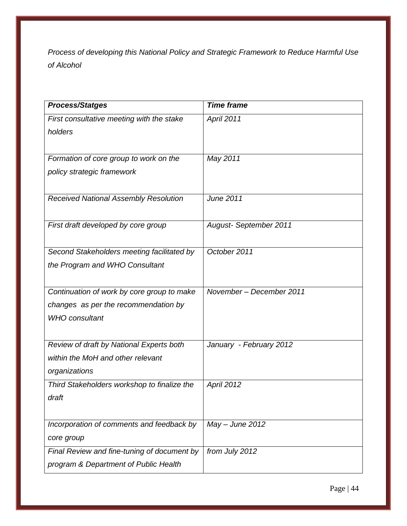*Process of developing this National Policy and Strategic Framework to Reduce Harmful Use of Alcohol*

| <b>Process/Statges</b>                      | <b>Time frame</b>            |
|---------------------------------------------|------------------------------|
| First consultative meeting with the stake   | April 2011                   |
| holders                                     |                              |
|                                             |                              |
| Formation of core group to work on the      | May 2011                     |
| policy strategic framework                  |                              |
|                                             |                              |
| Received National Assembly Resolution       | <b>June 2011</b>             |
|                                             |                              |
| First draft developed by core group         | <b>August-September 2011</b> |
|                                             |                              |
| Second Stakeholders meeting facilitated by  | October 2011                 |
| the Program and WHO Consultant              |                              |
|                                             |                              |
| Continuation of work by core group to make  | November - December 2011     |
| changes as per the recommendation by        |                              |
| <b>WHO</b> consultant                       |                              |
|                                             |                              |
| Review of draft by National Experts both    | January - February 2012      |
| within the MoH and other relevant           |                              |
| organizations                               |                              |
| Third Stakeholders workshop to finalize the | April 2012                   |
| draft                                       |                              |
|                                             |                              |
| Incorporation of comments and feedback by   | $May - June 2012$            |
| core group                                  |                              |
| Final Review and fine-tuning of document by | from July 2012               |
| program & Department of Public Health       |                              |